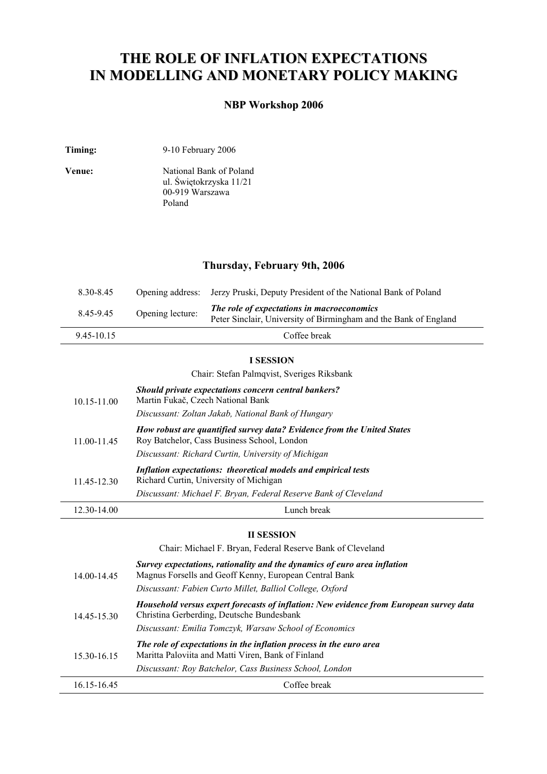# **THE ROLE OF INFLATION EXPECTATIONS IN MODELLING AND MONETARY POLICY MAKING**

## **NBP Workshop 2006**

| Timing: | 9-10 February 2006 |
|---------|--------------------|
|---------|--------------------|

| Venue: | National Bank of Poland |
|--------|-------------------------|
|        | ul. Świętokrzyska 11/21 |
|        | 00-919 Warszawa         |
|        | Poland                  |

## **Thursday, February 9th, 2006**

| 8.30-8.45 |                  | Opening address: Jerzy Pruski, Deputy President of the National Bank of Poland                                 |
|-----------|------------------|----------------------------------------------------------------------------------------------------------------|
| 8.45-9.45 | Opening lecture: | The role of expectations in macroeconomics<br>Peter Sinclair, University of Birmingham and the Bank of England |
| 945-1015  |                  | Coffee break                                                                                                   |

### **I SESSION**

Chair: Stefan Palmqvist, Sveriges Riksbank

| 10.15-11.00 | Should private expectations concern central bankers?<br>Martin Fukač, Czech National Bank<br>Discussant: Zoltan Jakab, National Bank of Hungary                             |
|-------------|-----------------------------------------------------------------------------------------------------------------------------------------------------------------------------|
| 11.00-11.45 | How robust are quantified survey data? Evidence from the United States<br>Roy Batchelor, Cass Business School, London<br>Discussant: Richard Curtin, University of Michigan |
| 11.45-12.30 | Inflation expectations: theoretical models and empirical tests<br>Richard Curtin, University of Michigan<br>Discussant: Michael F. Bryan, Federal Reserve Bank of Cleveland |
| 12.30-14.00 | Lunch break                                                                                                                                                                 |

#### **II SESSION**

Chair: Michael F. Bryan, Federal Reserve Bank of Cleveland

| 14.00-14.45 | Survey expectations, rationality and the dynamics of euro area inflation<br>Magnus Forsells and Geoff Kenny, European Central Bank                                                            |
|-------------|-----------------------------------------------------------------------------------------------------------------------------------------------------------------------------------------------|
|             | Discussant: Fabien Curto Millet, Balliol College, Oxford                                                                                                                                      |
| 14.45-15.30 | Household versus expert forecasts of inflation: New evidence from European survey data<br>Christina Gerberding, Deutsche Bundesbank<br>Discussant: Emilia Tomczyk, Warsaw School of Economics |
| 15.30-16.15 | The role of expectations in the inflation process in the euro area<br>Maritta Paloviita and Matti Viren, Bank of Finland<br>Discussant: Roy Batchelor, Cass Business School, London           |
| 16.15-16.45 | Coffee break                                                                                                                                                                                  |